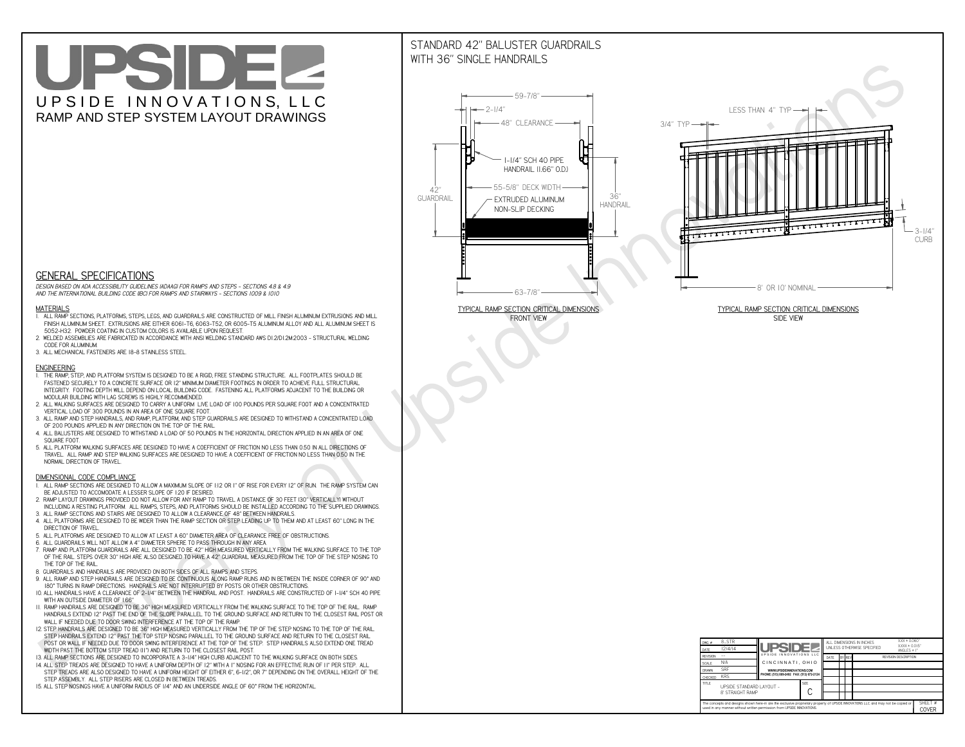# UPSIDEL UPSIDE INNOVATIONS, LLC RAMP AND STEP SYSTEM LAYOUT DRAWINGS

## STANDARD 42" BALUSTER GUARDRAILSWITH 36" SINGLE HANDRAILS

**FRONT VIEW**





**GENERAL SPECIFICATIONS**

 *DESIGN BASED ON ADA ACCESSIBILITY GUIDELINES (ADAAG) FOR RAMPS AND STEPS - SECTIONS 4.8 & 4.9AND THE INTERNATIONAL BUILDING CODE (IBC) FOR RAMPS AND STAIRWAYS - SECTIONS 1009 & 1010*

#### **MATERIALS**

- **1. ALL RAMP SECTIONS, PLATFORMS, STEPS, LEGS, AND GUARDRAILS ARE CONSTRUCTED OF MILL FINISH ALUMINUM EXTRUSIONS AND MILL FINISH ALUMINUM SHEET. EXTRUSIONS ARE EITHER 6061-T6, 6063-T52, OR 6005-T5 ALUMINUM ALLOY AND ALL ALUMINUM SHEET IS 5052-H32. POWDER COATING IN CUSTOM COLORS IS AVAILABLE UPON REQUEST.**
- **2. WELDED ASSEMBLIES ARE FABRICATED IN ACCORDANCE WITH ANSI WELDING STANDARD AWS D1.2/D1.2M:2003 STRUCTURAL WELDING CODE FOR ALUMINUM.**
- **3. ALL MECHANICAL FASTENERS ARE 18-8 STAINLESS STEEL.**

#### **ENGINEERING**

- **1. THE RAMP, STEP, AND PLATFORM SYSTEM IS DESIGNED TO BE A RIGID, FREE STANDING STRUCTURE. ALL FOOTPLATES SHOULD BE FASTENED SECURELY TO A CONCRETE SURFACE OR 12" MINIMUM DIAMETER FOOTINGS IN ORDER TO ACHIEVE FULL STRUCTURAL INTEGRITY. FOOTING DEPTH WILL DEPEND ON LOCAL BUILDING CODE. FASTENING ALL PLATFORMS ADJACENT TO THE BUILDING OR MODULAR BUILDING WITH LAG SCREWS IS HIGHLY RECOMMENDED.**
- **2. ALL WALKING SURFACES ARE DESIGNED TO CARRY A UNIFORM LIVE LOAD OF 100 POUNDS PER SQUARE FOOT AND A CONCENTRATED VERTICAL LOAD OF 300 POUNDS IN AN AREA OF ONE SQUARE FOOT.**
- **3. ALL RAMP AND STEP HANDRAILS, AND RAMP, PLATFORM, AND STEP GUARDRAILS ARE DESIGNED TO WITHSTAND A CONCENTRATED LOAD OF 200 POUNDS APPLIED IN ANY DIRECTION ON THE TOP OF THE RAIL.**
- **4. ALL BALUSTERS ARE DESIGNED TO WITHSTAND A LOAD OF 50 POUNDS IN THE HORIZONTAL DIRECTION APPLIED IN AN AREA OF ONE SQUARE FOOT.**
- **5. ALL PLATFORM WALKING SURFACES ARE DESIGNED TO HAVE A COEFFICIENT OF FRICTION NO LESS THAN 0.50 IN ALL DIRECTIONS OF TRAVEL. ALL RAMP AND STEP WALKING SURFACES ARE DESIGNED TO HAVE A COEFFICIENT OF FRICTION NO LESS THAN 0.50 IN THE NORMAL DIRECTION OF TRAVEL.**

| $DWG.$ #<br>DATE                                                                                                                                                                                            | 8_STR<br>12/4/14                             | <b>UPSIDE!</b>                            |             | ALL DIMENSIONS IN INCHES<br>UNLESS OTHERWISE SPECIFIED |  |        |  | $XXX = 0.060"$<br>$XXX \pm 0.015$ "<br>ANGLES $\pm$ 1° |  |
|-------------------------------------------------------------------------------------------------------------------------------------------------------------------------------------------------------------|----------------------------------------------|-------------------------------------------|-------------|--------------------------------------------------------|--|--------|--|--------------------------------------------------------|--|
| <b>REVISION</b>                                                                                                                                                                                             |                                              | UPSIDE INNOVATIONS LLC                    |             | DATE                                                   |  | BY REV |  | <b>REVISION DESCRIPTION</b>                            |  |
| <b>SCALE</b>                                                                                                                                                                                                | N/A                                          | CINCINNATI, OHIO                          |             |                                                        |  |        |  |                                                        |  |
| <b>DRAWN</b>                                                                                                                                                                                                | <b>SRF</b>                                   | WWW.UPSIDEINNOVATIONS.COM                 |             |                                                        |  |        |  |                                                        |  |
| <b>CHECKED</b>                                                                                                                                                                                              | <b>KRS</b>                                   | PHONE: (513) 889-2492 FAX: (513) 672-2124 |             |                                                        |  |        |  |                                                        |  |
| <b>TITLE</b>                                                                                                                                                                                                | UPSIDE STANDARD LAYOUT -<br>8' STRAIGHT RAMP |                                           | <b>SIZE</b> |                                                        |  |        |  |                                                        |  |
| The concepts and designs shown here-in are the exclusive proprietary property of UPSIDE INNOVATIONS LLC. and may not be copied or<br>used in any manner without written permission from UPSIDE INNOVATIONS. |                                              |                                           |             |                                                        |  |        |  |                                                        |  |

### **DIMENSIONAL CODE COMPLIANCE**

- **1. ALL RAMP SECTIONS ARE DESIGNED TO ALLOW A MAXIMUM SLOPE OF 1:12 OR 1" OF RISE FOR EVERY 12" OF RUN. THE RAMP SYSTEM CAN BE ADJUSTED TO ACCOMODATE A LESSER SLOPE OF 1:20 IF DESIRED.**
- **2. RAMP LAYOUT DRAWINGS PROVIDED DO NOT ALLOW FOR ANY RAMP TO TRAVEL A DISTANCE OF 30 FEET (30" VERTICALLY) WITHOUT INCLUDING A RESTING PLATFORM. ALL RAMPS, STEPS, AND PLATFORMS SHOULD BE INSTALLED ACCORDING TO THE SUPPLIED DRAWINGS.**
- **3. ALL RAMP SECTIONS AND STAIRS ARE DESIGNED TO ALLOW A CLEARANCE OF 48" BETWEEN HANDRAILS.**
- **4. ALL PLATFORMS ARE DESIGNED TO BE WIDER THAN THE RAMP SECTION OR STEP LEADING UP TO THEM AND AT LEAST 60" LONG IN THE DIRECTION OF TRAVEL.**
- **5. ALL PLATFORMS ARE DESIGNED TO ALLOW AT LEAST A 60" DIAMETER AREA OF CLEARANCE FREE OF OBSTRUCTIONS.**
- **6. ALL GUARDRAILS WILL NOT ALLOW A 4" DIAMETER SPHERE TO PASS THROUGH IN ANY AREA.**
- **7. RAMP AND PLATFORM GUARDRAILS ARE ALL DESIGNED TO BE 42" HIGH MEASURED VERTICALLY FROM THE WALKING SURFACE TO THE TOP OF THE RAIL. STEPS OVER 30" HIGH ARE ALSO DESIGNED TO HAVE A 42" GUARDRAIL MEASURED FROM THE TOP OF THE STEP NOSING TO THE TOP OF THE RAIL.**
- **8. GUARDRAILS AND HANDRAILS ARE PROVIDED ON BOTH SIDES OF ALL RAMPS AND STEPS.**
- **9. ALL RAMP AND STEP HANDRAILS ARE DESIGNED TO BE CONTINUOUS ALONG RAMP RUNS AND IN BETWEEN THE INSIDE CORNER OF 90° AND 180° TURNS IN RAMP DIRECTIONS. HANDRAILS ARE NOT INTERRUPTED BY POSTS OR OTHER OBSTRUCTIONS.**
- **10. ALL HANDRAILS HAVE A CLEARANCE OF 2-1/4" BETWEEN THE HANDRAIL AND POST. HANDRAILS ARE CONSTRUCTED OF 1-1/4" SCH 40 PIPE WITH AN OUTSIDE DIAMETER OF 1.66"**
- **11. RAMP HANDRAILS ARE DESIGNED TO BE 36" HIGH MEASURED VERTICALLY FROM THE WALKING SURFACE TO THE TOP OF THE RAIL. RAMP HANDRAILS EXTEND 12" PAST THE END OF THE SLOPE PARALLEL TO THE GROUND SURFACE AND RETURN TO THE CLOSEST RAIL POST OR WALL IF NEEDED DUE TO DOOR SWING INTERFERENCE AT THE TOP OF THE RAMP.**
- **12. STEP HANDRAILS ARE DESIGNED TO BE 36" HIGH MEASURED VERTICALLY FROM THE TIP OF THE STEP NOSING TO THE TOP OF THE RAIL. STEP HANDRAILS EXTEND 12" PAST THE TOP STEP NOSING PARALLEL TO THE GROUND SURFACE AND RETURN TO THE CLOSEST RAIL POST OR WALL IF NEEDED DUE TO DOOR SWING INTERFERENCE AT THE TOP OF THE STEP. STEP HANDRAILS ALSO EXTEND ONE TREAD**
- **WIDTH PAST THE BOTTOM STEP TREAD (11") AND RETURN TO THE CLOSEST RAIL POST.**
- **13. ALL RAMP SECTIONS ARE DESIGNED TO INCORPORATE A 3-1/4" HIGH CURB ADJACENT TO THE WALKING SURFACE ON BOTH SIDES.**
- **14. ALL STEP TREADS ARE DESIGNED TO HAVE A UNIFORM DEPTH OF 12" WITH A 1" NOSING FOR AN EFFECTIVE RUN OF 11" PER STEP. ALL STEP TREADS ARE ALSO DESIGNED TO HAVE A UNIFORM HEIGHT OF EITHER 6", 6-1/2", OR 7" DEPENDING ON THE OVERALL HEIGHT OF THE STEP ASSEMBLY. ALL STEP RISERS ARE CLOSED IN BETWEEN TREADS.**
- **15. ALL STEP NOSINGS HAVE A UNIFORM RADIUS OF 1/4" AND AN UNDERSIDE ANGLE OF 60° FROM THE HORIZONTAL.**